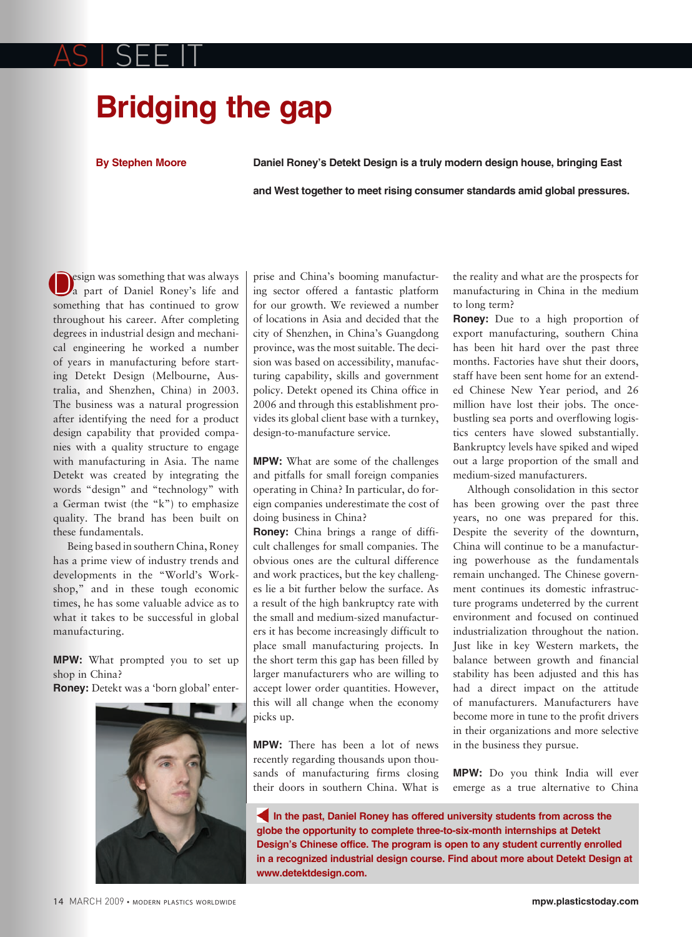## **Bridging the gap**

**By Stephen Moore**

AS I SEE IT

**Daniel Roney's Detekt Design is a truly modern design house, bringing East** 

**and West together to meet rising consumer standards amid global pressures.**

Design was something that was always a part of Daniel Roney's life and something that has continued to grow throughout his career. After completing degrees in industrial design and mechanical engineering he worked a number of years in manufacturing before starting Detekt Design (Melbourne, Australia, and Shenzhen, China) in 2003. The business was a natural progression after identifying the need for a product design capability that provided companies with a quality structure to engage with manufacturing in Asia. The name Detekt was created by integrating the words "design" and "technology" with a German twist (the "k") to emphasize quality. The brand has been built on these fundamentals.

Being based in southern China, Roney has a prime view of industry trends and developments in the "World's Workshop," and in these tough economic times, he has some valuable advice as to what it takes to be successful in global manufacturing.

**MPW:** What prompted you to set up shop in China?

**Roney:** Detekt was a 'born global' enter-



prise and China's booming manufacturing sector offered a fantastic platform for our growth. We reviewed a number of locations in Asia and decided that the city of Shenzhen, in China's Guangdong province, was the most suitable. The decision was based on accessibility, manufacturing capability, skills and government policy. Detekt opened its China office in 2006 and through this establishment provides its global client base with a turnkey, design-to-manufacture service.

**MPW:** What are some of the challenges and pitfalls for small foreign companies operating in China? In particular, do foreign companies underestimate the cost of doing business in China?

**Roney:** China brings a range of difficult challenges for small companies. The obvious ones are the cultural difference and work practices, but the key challenges lie a bit further below the surface. As a result of the high bankruptcy rate with the small and medium-sized manufacturers it has become increasingly difficult to place small manufacturing projects. In the short term this gap has been filled by larger manufacturers who are willing to accept lower order quantities. However, this will all change when the economy picks up.

**MPW:** There has been a lot of news recently regarding thousands upon thousands of manufacturing firms closing their doors in southern China. What is

the reality and what are the prospects for manufacturing in China in the medium to long term?

**Roney:** Due to a high proportion of export manufacturing, southern China has been hit hard over the past three months. Factories have shut their doors, staff have been sent home for an extended Chinese New Year period, and 26 million have lost their jobs. The oncebustling sea ports and overflowing logistics centers have slowed substantially. Bankruptcy levels have spiked and wiped out a large proportion of the small and medium-sized manufacturers.

Although consolidation in this sector has been growing over the past three years, no one was prepared for this. Despite the severity of the downturn, China will continue to be a manufacturing powerhouse as the fundamentals remain unchanged. The Chinese government continues its domestic infrastructure programs undeterred by the current environment and focused on continued industrialization throughout the nation. Just like in key Western markets, the balance between growth and financial stability has been adjusted and this has had a direct impact on the attitude of manufacturers. Manufacturers have become more in tune to the profit drivers in their organizations and more selective in the business they pursue.

**MPW:** Do you think India will ever emerge as a true alternative to China

In the past, Daniel Roney has offered university students from across the **globe the opportunity to complete three-to-six-month internships at Detekt Design's Chinese office. The program is open to any student currently enrolled in a recognized industrial design course. Find about more about Detekt Design at www.detektdesign.com.**